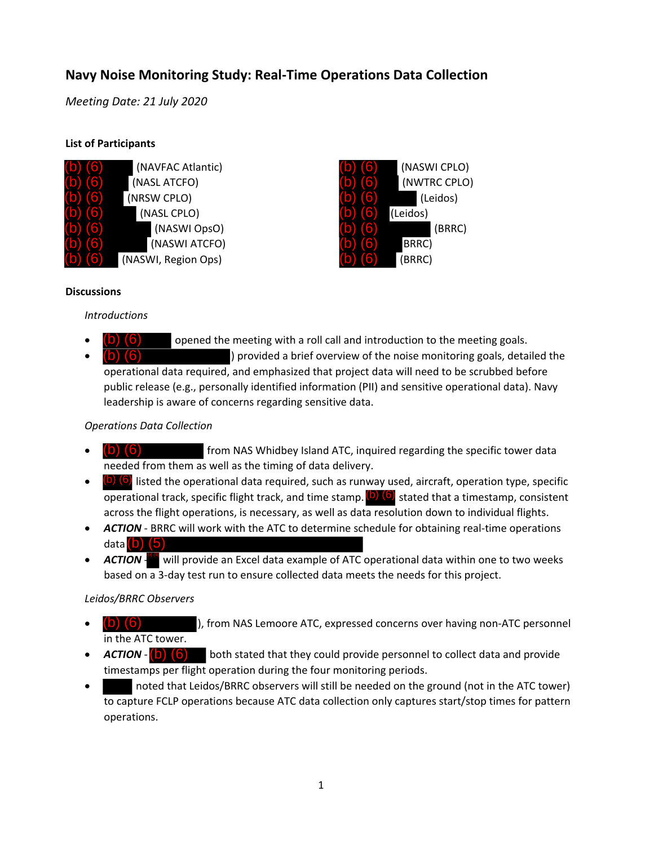# **Navy Noise Monitoring Study: Real‐Time Operations Data Collection**

*Meeting Date: 21 July 2020*

## **List of Participants**

| (NAVFAC Atlantic)   |  |
|---------------------|--|
| (NASL ATCFO)        |  |
| (NRSW CPLO)         |  |
| (NASL CPLO)         |  |
| (NASWI OpsO)        |  |
| (NASWI ATCFO)       |  |
| (NASWI, Region Ops) |  |



#### **Discussions**

#### *Introductions*

 opened the meeting with a roll call and introduction to the meeting goals. ) provided a brief overview of the noise monitoring goals, detailed the operational data required, and emphasized that project data will need to be scrubbed before public release (e.g., personally identified information (PII) and sensitive operational data). Navy leadership is aware of concerns regarding sensitive data. (b) (6) (b) (6)

## *Operations Data Collection*

- from NAS Whidbey Island ATC, inquired regarding the specific tower data needed from them as well as the timing of data delivery. (b) (6)
- $\bullet$  (b) (6) listed the operational data required, such as runway used, aircraft, operation type, specific operational track, specific flight track, and time stamp. **(b)** (6) stated that a timestamp, consistent across the flight operations, is necessary, as well as data resolution down to individual flights.
- **ACTION** BRRC will work with the ATC to determine schedule for obtaining real-time operations data (b) (5)
- ACTION will provide an Excel data example of ATC operational data within one to two weeks based on a 3‐day test run to ensure collected data meets the needs for this project.

## *Leidos/BRRC Observers*

- ), from NAS Lemoore ATC, expressed concerns over having non‐ATC personnel in the ATC tower. (b) (6)
- both stated that they could provide personnel to collect data and provide timestamps per flight operation during the four monitoring periods.  $ACTION - (b)$   $(6)$
- noted that Leidos/BRRC observers will still be needed on the ground (not in the ATC tower) to capture FCLP operations because ATC data collection only captures start/stop times for pattern operations.